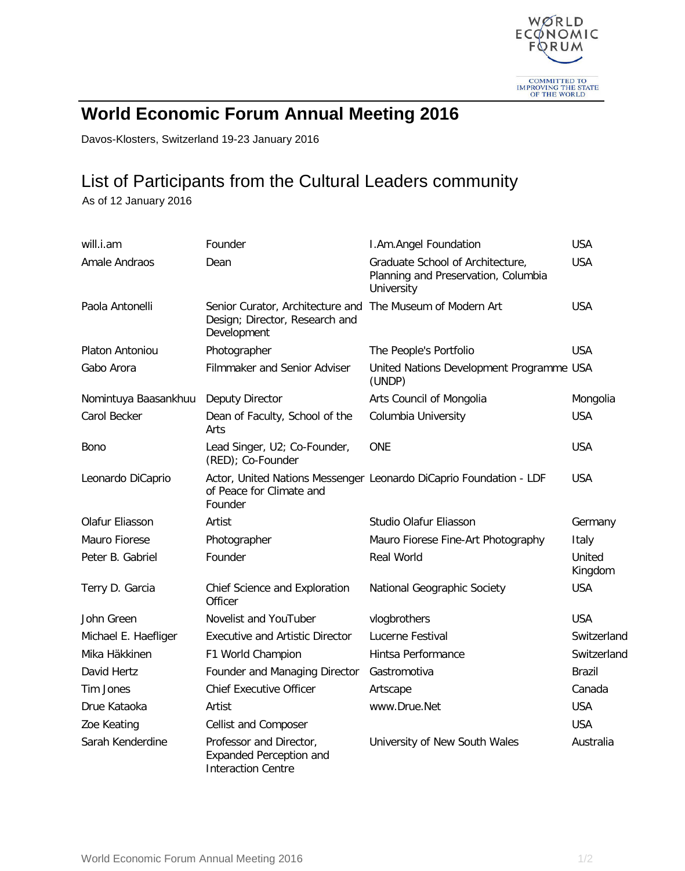

## **World Economic Forum Annual Meeting 2016**

Davos-Klosters, Switzerland 19-23 January 2016

## List of Participants from the Cultural Leaders community

As of 12 January 2016

| will.i.am            | Founder                                                                                                    | I.Am.Angel Foundation                                                                 | <b>USA</b>        |
|----------------------|------------------------------------------------------------------------------------------------------------|---------------------------------------------------------------------------------------|-------------------|
| Amale Andraos        | Dean                                                                                                       | Graduate School of Architecture,<br>Planning and Preservation, Columbia<br>University | <b>USA</b>        |
| Paola Antonelli      | Senior Curator, Architecture and The Museum of Modern Art<br>Design; Director, Research and<br>Development |                                                                                       | <b>USA</b>        |
| Platon Antoniou      | Photographer                                                                                               | The People's Portfolio                                                                | <b>USA</b>        |
| Gabo Arora           | Filmmaker and Senior Adviser                                                                               | United Nations Development Programme USA<br>(UNDP)                                    |                   |
| Nomintuya Baasankhuu | Deputy Director                                                                                            | Arts Council of Mongolia                                                              | Mongolia          |
| Carol Becker         | Dean of Faculty, School of the<br>Arts                                                                     | Columbia University                                                                   | <b>USA</b>        |
| Bono                 | Lead Singer, U2; Co-Founder,<br>(RED); Co-Founder                                                          | <b>ONE</b>                                                                            | <b>USA</b>        |
| Leonardo DiCaprio    | of Peace for Climate and<br>Founder                                                                        | Actor, United Nations Messenger Leonardo DiCaprio Foundation - LDF                    | <b>USA</b>        |
| Olafur Eliasson      | Artist                                                                                                     | Studio Olafur Eliasson                                                                | Germany           |
| Mauro Fiorese        | Photographer                                                                                               | Mauro Fiorese Fine-Art Photography                                                    | Italy             |
| Peter B. Gabriel     | Founder                                                                                                    | <b>Real World</b>                                                                     | United<br>Kingdom |
| Terry D. Garcia      | Chief Science and Exploration<br>Officer                                                                   | National Geographic Society                                                           | <b>USA</b>        |
| John Green           | Novelist and YouTuber                                                                                      | vlogbrothers                                                                          | <b>USA</b>        |
| Michael E. Haefliger | <b>Executive and Artistic Director</b>                                                                     | Lucerne Festival                                                                      | Switzerland       |
| Mika Häkkinen        | F1 World Champion                                                                                          | Hintsa Performance                                                                    | Switzerland       |
| David Hertz          | Founder and Managing Director                                                                              | Gastromotiva                                                                          | <b>Brazil</b>     |
| Tim Jones            | <b>Chief Executive Officer</b>                                                                             | Artscape                                                                              | Canada            |
| Drue Kataoka         | Artist                                                                                                     | www.Drue.Net                                                                          | <b>USA</b>        |
| Zoe Keating          | Cellist and Composer                                                                                       |                                                                                       | <b>USA</b>        |
| Sarah Kenderdine     | Professor and Director,<br><b>Expanded Perception and</b><br><b>Interaction Centre</b>                     | University of New South Wales                                                         | Australia         |